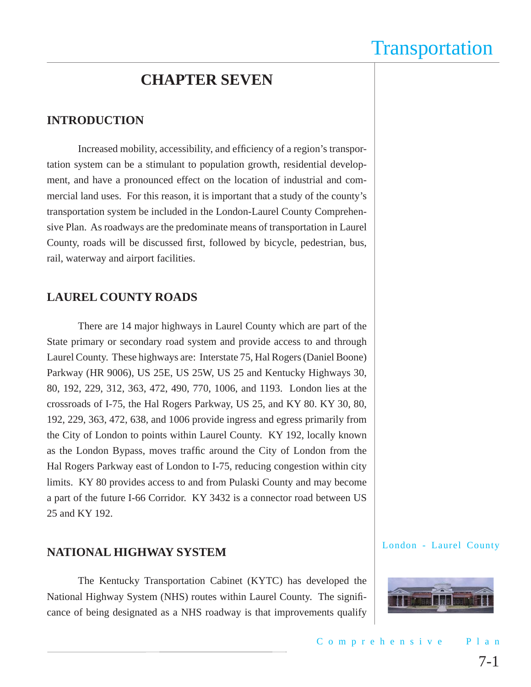### **CHAPTER SEVEN**

### **INTRODUCTION**

Increased mobility, accessibility, and efficiency of a region's transportation system can be a stimulant to population growth, residential development, and have a pronounced effect on the location of industrial and commercial land uses. For this reason, it is important that a study of the county's transportation system be included in the London-Laurel County Comprehensive Plan. As roadways are the predominate means of transportation in Laurel County, roads will be discussed first, followed by bicycle, pedestrian, bus, rail, waterway and airport facilities.

### **LAUREL COUNTY ROADS**

There are 14 major highways in Laurel County which are part of the State primary or secondary road system and provide access to and through Laurel County. These highways are: Interstate 75, Hal Rogers (Daniel Boone) Parkway (HR 9006), US 25E, US 25W, US 25 and Kentucky Highways 30, 80, 192, 229, 312, 363, 472, 490, 770, 1006, and 1193. London lies at the crossroads of I-75, the Hal Rogers Parkway, US 25, and KY 80. KY 30, 80, 192, 229, 363, 472, 638, and 1006 provide ingress and egress primarily from the City of London to points within Laurel County. KY 192, locally known as the London Bypass, moves traffic around the City of London from the Hal Rogers Parkway east of London to I-75, reducing congestion within city limits. KY 80 provides access to and from Pulaski County and may become a part of the future I-66 Corridor. KY 3432 is a connector road between US 25 and KY 192.

### **NATIONAL HIGHWAY SYSTEM**

The Kentucky Transportation Cabinet (KYTC) has developed the National Highway System (NHS) routes within Laurel County. The significance of being designated as a NHS roadway is that improvements qualify

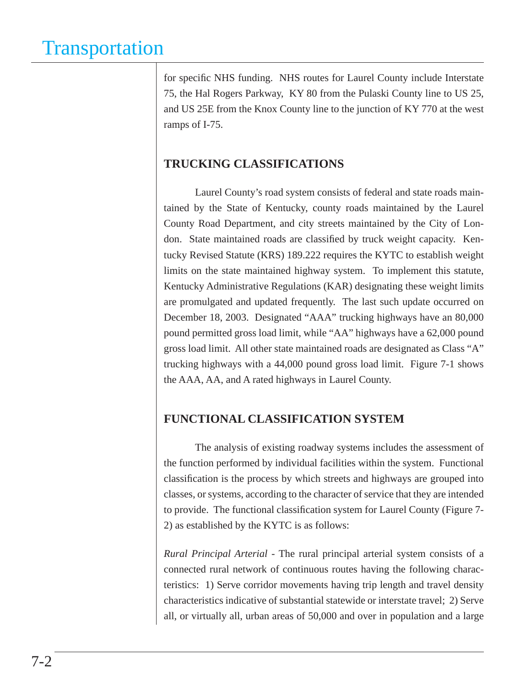for specific NHS funding. NHS routes for Laurel County include Interstate 75, the Hal Rogers Parkway, KY 80 from the Pulaski County line to US 25, and US 25E from the Knox County line to the junction of KY 770 at the west ramps of I-75.

### **TRUCKING CLASSIFICATIONS**

Laurel County's road system consists of federal and state roads maintained by the State of Kentucky, county roads maintained by the Laurel County Road Department, and city streets maintained by the City of London. State maintained roads are classified by truck weight capacity. Kentucky Revised Statute (KRS) 189.222 requires the KYTC to establish weight limits on the state maintained highway system. To implement this statute, Kentucky Administrative Regulations (KAR) designating these weight limits are promulgated and updated frequently. The last such update occurred on December 18, 2003. Designated "AAA" trucking highways have an 80,000 pound permitted gross load limit, while "AA" highways have a 62,000 pound gross load limit. All other state maintained roads are designated as Class "A" trucking highways with a 44,000 pound gross load limit. Figure 7-1 shows the AAA, AA, and A rated highways in Laurel County.

### **FUNCTIONAL CLASSIFICATION SYSTEM**

The analysis of existing roadway systems includes the assessment of the function performed by individual facilities within the system. Functional classification is the process by which streets and highways are grouped into classes, or systems, according to the character of service that they are intended to provide. The functional classification system for Laurel County (Figure 7-2) as established by the KYTC is as follows:

*Rural Principal Arterial* - The rural principal arterial system consists of a connected rural network of continuous routes having the following characteristics: 1) Serve corridor movements having trip length and travel density characteristics indicative of substantial statewide or interstate travel; 2) Serve all, or virtually all, urban areas of 50,000 and over in population and a large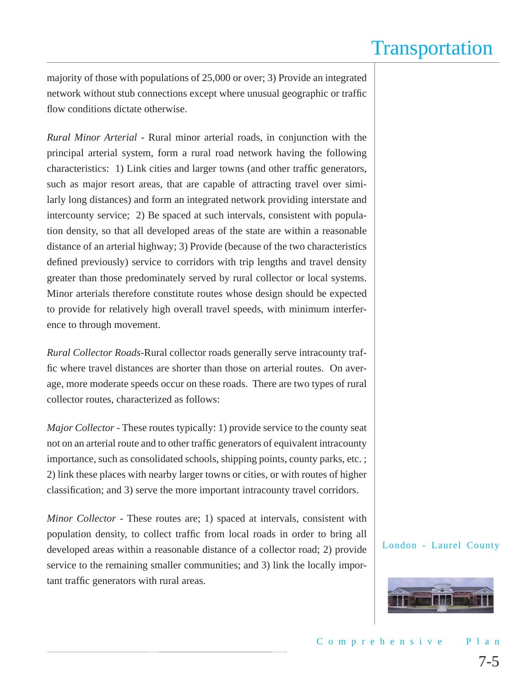majority of those with populations of 25,000 or over; 3) Provide an integrated network without stub connections except where unusual geographic or traffic flow conditions dictate otherwise.

*Rural Minor Arterial* - Rural minor arterial roads, in conjunction with the principal arterial system, form a rural road network having the following characteristics: 1) Link cities and larger towns (and other traffic generators, such as major resort areas, that are capable of attracting travel over similarly long distances) and form an integrated network providing interstate and intercounty service; 2) Be spaced at such intervals, consistent with population density, so that all developed areas of the state are within a reasonable distance of an arterial highway; 3) Provide (because of the two characteristics defined previously) service to corridors with trip lengths and travel density greater than those predominately served by rural collector or local systems. Minor arterials therefore constitute routes whose design should be expected to provide for relatively high overall travel speeds, with minimum interference to through movement.

*Rural Collector Roads*-Rural collector roads generally serve intracounty traffic where travel distances are shorter than those on arterial routes. On average, more moderate speeds occur on these roads. There are two types of rural collector routes, characterized as follows:

*Major Collector* - These routes typically: 1) provide service to the county seat not on an arterial route and to other traffic generators of equivalent intracounty importance, such as consolidated schools, shipping points, county parks, etc. ; 2) link these places with nearby larger towns or cities, or with routes of higher classification; and 3) serve the more important intracounty travel corridors.

*Minor Collector* - These routes are; 1) spaced at intervals, consistent with population density, to collect traffic from local roads in order to bring all developed areas within a reasonable distance of a collector road; 2) provide service to the remaining smaller communities; and 3) link the locally important traffic generators with rural areas.

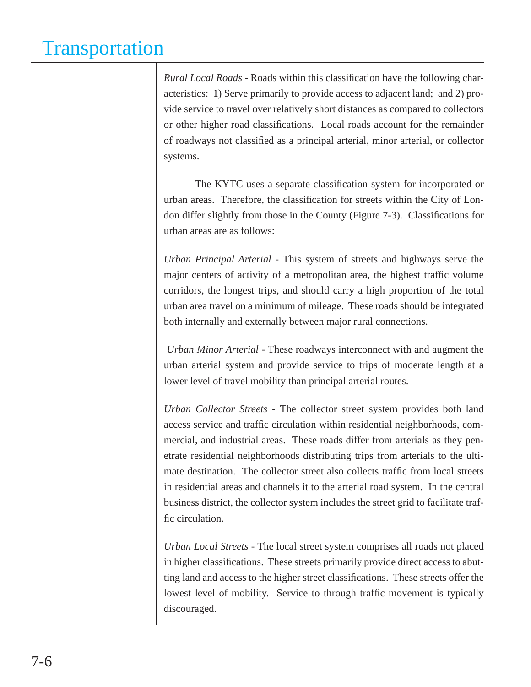*Rural Local Roads* - Roads within this classification have the following characteristics: 1) Serve primarily to provide access to adjacent land; and 2) provide service to travel over relatively short distances as compared to collectors or other higher road classifications. Local roads account for the remainder of roadways not classified as a principal arterial, minor arterial, or collector systems.

The KYTC uses a separate classification system for incorporated or urban areas. Therefore, the classification for streets within the City of London differ slightly from those in the County (Figure 7-3). Classifications for urban areas are as follows:

*Urban Principal Arterial* - This system of streets and highways serve the major centers of activity of a metropolitan area, the highest traffic volume corridors, the longest trips, and should carry a high proportion of the total urban area travel on a minimum of mileage. These roads should be integrated both internally and externally between major rural connections.

*Urban Minor Arterial* - These roadways interconnect with and augment the urban arterial system and provide service to trips of moderate length at a lower level of travel mobility than principal arterial routes.

*Urban Collector Streets* - The collector street system provides both land access service and traffic circulation within residential neighborhoods, commercial, and industrial areas. These roads differ from arterials as they penetrate residential neighborhoods distributing trips from arterials to the ultimate destination. The collector street also collects traffic from local streets in residential areas and channels it to the arterial road system. In the central business district, the collector system includes the street grid to facilitate traffic circulation.

*Urban Local Streets* - The local street system comprises all roads not placed in higher classifications. These streets primarily provide direct access to abutting land and access to the higher street classifications. These streets offer the lowest level of mobility. Service to through traffic movement is typically discouraged.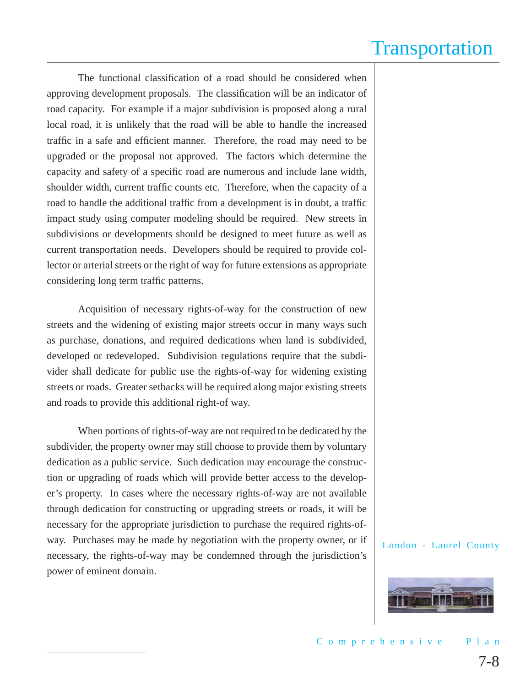The functional classification of a road should be considered when approving development proposals. The classification will be an indicator of road capacity. For example if a major subdivision is proposed along a rural local road, it is unlikely that the road will be able to handle the increased traffic in a safe and efficient manner. Therefore, the road may need to be upgraded or the proposal not approved. The factors which determine the capacity and safety of a specific road are numerous and include lane width, shoulder width, current traffic counts etc. Therefore, when the capacity of a road to handle the additional traffic from a development is in doubt, a traffic impact study using computer modeling should be required. New streets in subdivisions or developments should be designed to meet future as well as current transportation needs. Developers should be required to provide collector or arterial streets or the right of way for future extensions as appropriate considering long term traffic patterns.

Acquisition of necessary rights-of-way for the construction of new streets and the widening of existing major streets occur in many ways such as purchase, donations, and required dedications when land is subdivided, developed or redeveloped. Subdivision regulations require that the subdivider shall dedicate for public use the rights-of-way for widening existing streets or roads. Greater setbacks will be required along major existing streets and roads to provide this additional right-of way.

When portions of rights-of-way are not required to be dedicated by the subdivider, the property owner may still choose to provide them by voluntary dedication as a public service. Such dedication may encourage the construction or upgrading of roads which will provide better access to the developer's property. In cases where the necessary rights-of-way are not available through dedication for constructing or upgrading streets or roads, it will be necessary for the appropriate jurisdiction to purchase the required rights-ofway. Purchases may be made by negotiation with the property owner, or if necessary, the rights-of-way may be condemned through the jurisdiction's power of eminent domain.

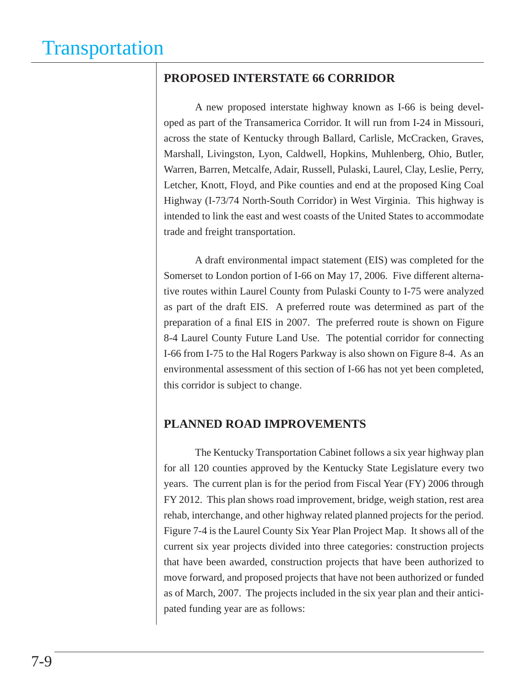### **PROPOSED INTERSTATE 66 CORRIDOR**

A new proposed interstate highway known as I-66 is being developed as part of the Transamerica Corridor. It will run from I-24 in Missouri, across the state of Kentucky through Ballard, Carlisle, McCracken, Graves, Marshall, Livingston, Lyon, Caldwell, Hopkins, Muhlenberg, Ohio, Butler, Warren, Barren, Metcalfe, Adair, Russell, Pulaski, Laurel, Clay, Leslie, Perry, Letcher, Knott, Floyd, and Pike counties and end at the proposed King Coal Highway (I-73/74 North-South Corridor) in West Virginia. This highway is intended to link the east and west coasts of the United States to accommodate trade and freight transportation.

A draft environmental impact statement (EIS) was completed for the Somerset to London portion of I-66 on May 17, 2006. Five different alternative routes within Laurel County from Pulaski County to I-75 were analyzed as part of the draft EIS. A preferred route was determined as part of the preparation of a final EIS in 2007. The preferred route is shown on Figure 8-4 Laurel County Future Land Use. The potential corridor for connecting I-66 from I-75 to the Hal Rogers Parkway is also shown on Figure 8-4. As an environmental assessment of this section of I-66 has not yet been completed, this corridor is subject to change.

### **PLANNED ROAD IMPROVEMENTS**

The Kentucky Transportation Cabinet follows a six year highway plan for all 120 counties approved by the Kentucky State Legislature every two years. The current plan is for the period from Fiscal Year (FY) 2006 through FY 2012. This plan shows road improvement, bridge, weigh station, rest area rehab, interchange, and other highway related planned projects for the period. Figure 7-4 is the Laurel County Six Year Plan Project Map. It shows all of the current six year projects divided into three categories: construction projects that have been awarded, construction projects that have been authorized to move forward, and proposed projects that have not been authorized or funded as of March, 2007. The projects included in the six year plan and their anticipated funding year are as follows: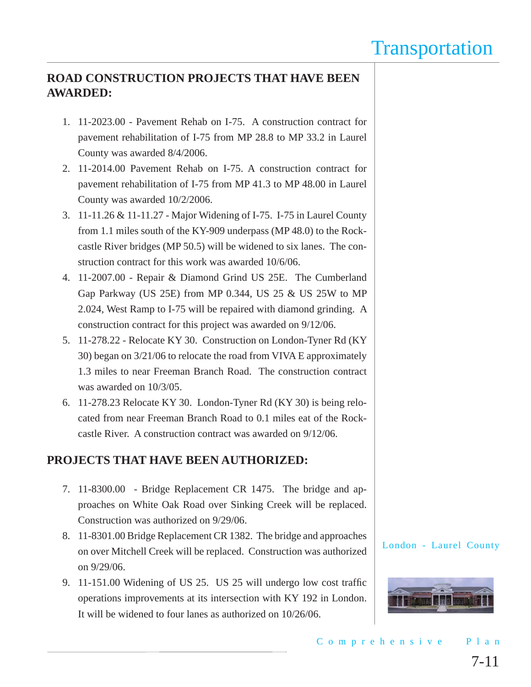### **ROAD CONSTRUCTION PROJECTS THAT HAVE BEEN AWARDED:**

- 1. 11-2023.00 Pavement Rehab on I-75. A construction contract for pavement rehabilitation of I-75 from MP 28.8 to MP 33.2 in Laurel County was awarded 8/4/2006.
- 2. 11-2014.00 Pavement Rehab on I-75. A construction contract for pavement rehabilitation of I-75 from MP 41.3 to MP 48.00 in Laurel County was awarded 10/2/2006.
- 3. 11-11.26 & 11-11.27 Major Widening of I-75. I-75 in Laurel County from 1.1 miles south of the KY-909 underpass (MP 48.0) to the Rockcastle River bridges (MP 50.5) will be widened to six lanes. The construction contract for this work was awarded 10/6/06.
- 4. 11-2007.00 Repair & Diamond Grind US 25E. The Cumberland Gap Parkway (US 25E) from MP 0.344, US 25 & US 25W to MP 2.024, West Ramp to I-75 will be repaired with diamond grinding. A construction contract for this project was awarded on 9/12/06.
- 5. 11-278.22 Relocate KY 30. Construction on London-Tyner Rd (KY 30) began on 3/21/06 to relocate the road from VIVA E approximately 1.3 miles to near Freeman Branch Road. The construction contract was awarded on 10/3/05.
- 6. 11-278.23 Relocate KY 30. London-Tyner Rd (KY 30) is being relocated from near Freeman Branch Road to 0.1 miles eat of the Rockcastle River. A construction contract was awarded on 9/12/06.

### **PROJECTS THAT HAVE BEEN AUTHORIZED:**

- 7. 11-8300.00 Bridge Replacement CR 1475. The bridge and approaches on White Oak Road over Sinking Creek will be replaced. Construction was authorized on 9/29/06.
- 8. 11-8301.00 Bridge Replacement CR 1382. The bridge and approaches on over Mitchell Creek will be replaced. Construction was authorized on 9/29/06.
- 9. 11-151.00 Widening of US 25. US 25 will undergo low cost traffic operations improvements at its intersection with KY 192 in London. It will be widened to four lanes as authorized on 10/26/06.

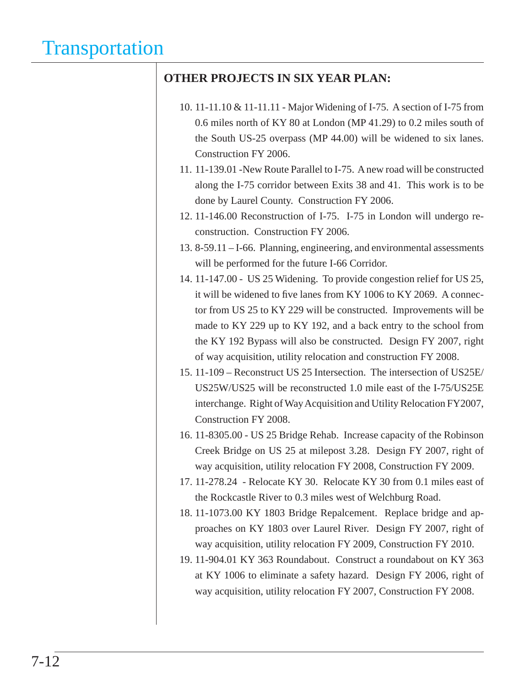### **OTHER PROJECTS IN SIX YEAR PLAN:**

- 10. 11-11.10 & 11-11.11 Major Widening of I-75. A section of I-75 from 0.6 miles north of KY 80 at London (MP 41.29) to 0.2 miles south of the South US-25 overpass (MP 44.00) will be widened to six lanes. Construction FY 2006.
- 11. 11-139.01 -New Route Parallel to I-75. A new road will be constructed along the I-75 corridor between Exits 38 and 41. This work is to be done by Laurel County. Construction FY 2006.
- 12. 11-146.00 Reconstruction of I-75. I-75 in London will undergo reconstruction. Construction FY 2006.
- 13. 8-59.11 I-66. Planning, engineering, and environmental assessments will be performed for the future I-66 Corridor.
- 14. 11-147.00 US 25 Widening. To provide congestion relief for US 25, it will be widened to five lanes from KY 1006 to KY 2069. A connector from US 25 to KY 229 will be constructed. Improvements will be made to KY 229 up to KY 192, and a back entry to the school from the KY 192 Bypass will also be constructed. Design FY 2007, right of way acquisition, utility relocation and construction FY 2008.
- 15. 11-109 Reconstruct US 25 Intersection. The intersection of US25E/ US25W/US25 will be reconstructed 1.0 mile east of the I-75/US25E interchange. Right of Way Acquisition and Utility Relocation FY2007, Construction FY 2008.
- 16. 11-8305.00 US 25 Bridge Rehab. Increase capacity of the Robinson Creek Bridge on US 25 at milepost 3.28. Design FY 2007, right of way acquisition, utility relocation FY 2008, Construction FY 2009.
- 17. 11-278.24 Relocate KY 30. Relocate KY 30 from 0.1 miles east of the Rockcastle River to 0.3 miles west of Welchburg Road.
- 18. 11-1073.00 KY 1803 Bridge Repalcement. Replace bridge and approaches on KY 1803 over Laurel River. Design FY 2007, right of way acquisition, utility relocation FY 2009, Construction FY 2010.
- 19. 11-904.01 KY 363 Roundabout. Construct a roundabout on KY 363 at KY 1006 to eliminate a safety hazard. Design FY 2006, right of way acquisition, utility relocation FY 2007, Construction FY 2008.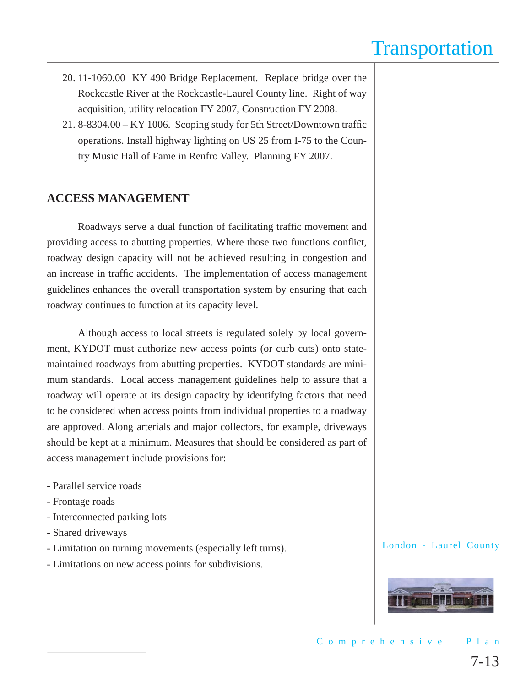- 20. 11-1060.00 KY 490 Bridge Replacement. Replace bridge over the Rockcastle River at the Rockcastle-Laurel County line. Right of way acquisition, utility relocation FY 2007, Construction FY 2008.
- 21. 8-8304.00 KY 1006. Scoping study for 5th Street/Downtown traffic operations. Install highway lighting on US 25 from I-75 to the Country Music Hall of Fame in Renfro Valley. Planning FY 2007.

### **ACCESS MANAGEMENT**

Roadways serve a dual function of facilitating traffic movement and providing access to abutting properties. Where those two functions conflict, roadway design capacity will not be achieved resulting in congestion and an increase in traffic accidents. The implementation of access management guidelines enhances the overall transportation system by ensuring that each roadway continues to function at its capacity level.

Although access to local streets is regulated solely by local government, KYDOT must authorize new access points (or curb cuts) onto statemaintained roadways from abutting properties. KYDOT standards are minimum standards. Local access management guidelines help to assure that a roadway will operate at its design capacity by identifying factors that need to be considered when access points from individual properties to a roadway are approved. Along arterials and major collectors, for example, driveways should be kept at a minimum. Measures that should be considered as part of access management include provisions for:

- Parallel service roads
- Frontage roads
- Interconnected parking lots
- Shared driveways
- Limitation on turning movements (especially left turns).
- Limitations on new access points for subdivisions.

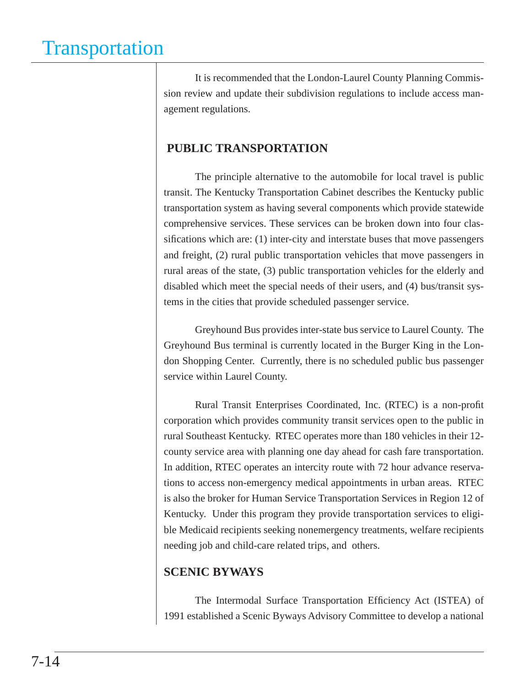It is recommended that the London-Laurel County Planning Commission review and update their subdivision regulations to include access management regulations.

### **PUBLIC TRANSPORTATION**

The principle alternative to the automobile for local travel is public transit. The Kentucky Transportation Cabinet describes the Kentucky public transportation system as having several components which provide statewide comprehensive services. These services can be broken down into four classifications which are:  $(1)$  inter-city and interstate buses that move passengers and freight, (2) rural public transportation vehicles that move passengers in rural areas of the state, (3) public transportation vehicles for the elderly and disabled which meet the special needs of their users, and (4) bus/transit systems in the cities that provide scheduled passenger service.

Greyhound Bus provides inter-state bus service to Laurel County. The Greyhound Bus terminal is currently located in the Burger King in the London Shopping Center. Currently, there is no scheduled public bus passenger service within Laurel County.

Rural Transit Enterprises Coordinated, Inc. (RTEC) is a non-profit corporation which provides community transit services open to the public in rural Southeast Kentucky. RTEC operates more than 180 vehicles in their 12 county service area with planning one day ahead for cash fare transportation. In addition, RTEC operates an intercity route with 72 hour advance reservations to access non-emergency medical appointments in urban areas. RTEC is also the broker for Human Service Transportation Services in Region 12 of Kentucky. Under this program they provide transportation services to eligible Medicaid recipients seeking nonemergency treatments, welfare recipients needing job and child-care related trips, and others.

### **SCENIC BYWAYS**

The Intermodal Surface Transportation Efficiency Act (ISTEA) of 1991 established a Scenic Byways Advisory Committee to develop a national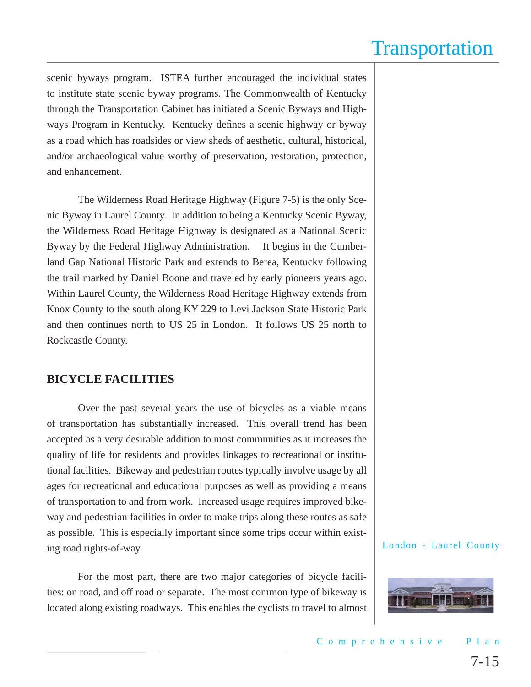scenic byways program. ISTEA further encouraged the individual states to institute state scenic byway programs. The Commonwealth of Kentucky through the Transportation Cabinet has initiated a Scenic Byways and Highways Program in Kentucky. Kentucky defines a scenic highway or byway as a road which has roadsides or view sheds of aesthetic, cultural, historical, and/or archaeological value worthy of preservation, restoration, protection, and enhancement.

The Wilderness Road Heritage Highway (Figure 7-5) is the only Scenic Byway in Laurel County. In addition to being a Kentucky Scenic Byway, the Wilderness Road Heritage Highway is designated as a National Scenic Byway by the Federal Highway Administration. It begins in the Cumberland Gap National Historic Park and extends to Berea, Kentucky following the trail marked by Daniel Boone and traveled by early pioneers years ago. Within Laurel County, the Wilderness Road Heritage Highway extends from Knox County to the south along KY 229 to Levi Jackson State Historic Park and then continues north to US 25 in London. It follows US 25 north to Rockcastle County.

#### **BICYCLE FACILITIES**

Over the past several years the use of bicycles as a viable means of transportation has substantially increased. This overall trend has been accepted as a very desirable addition to most communities as it increases the quality of life for residents and provides linkages to recreational or institutional facilities. Bikeway and pedestrian routes typically involve usage by all ages for recreational and educational purposes as well as providing a means of transportation to and from work. Increased usage requires improved bikeway and pedestrian facilities in order to make trips along these routes as safe as possible. This is especially important since some trips occur within existing road rights-of-way.

For the most part, there are two major categories of bicycle facilities: on road, and off road or separate. The most common type of bikeway is located along existing roadways. This enables the cyclists to travel to almost

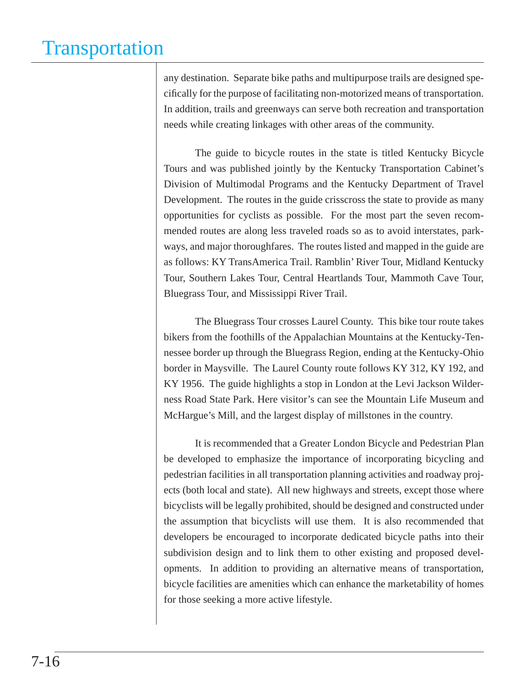any destination. Separate bike paths and multipurpose trails are designed specifically for the purpose of facilitating non-motorized means of transportation. In addition, trails and greenways can serve both recreation and transportation needs while creating linkages with other areas of the community.

The guide to bicycle routes in the state is titled Kentucky Bicycle Tours and was published jointly by the Kentucky Transportation Cabinet's Division of Multimodal Programs and the Kentucky Department of Travel Development. The routes in the guide crisscross the state to provide as many opportunities for cyclists as possible. For the most part the seven recommended routes are along less traveled roads so as to avoid interstates, parkways, and major thoroughfares. The routes listed and mapped in the guide are as follows: KY TransAmerica Trail. Ramblin' River Tour, Midland Kentucky Tour, Southern Lakes Tour, Central Heartlands Tour, Mammoth Cave Tour, Bluegrass Tour, and Mississippi River Trail.

The Bluegrass Tour crosses Laurel County. This bike tour route takes bikers from the foothills of the Appalachian Mountains at the Kentucky-Tennessee border up through the Bluegrass Region, ending at the Kentucky-Ohio border in Maysville. The Laurel County route follows KY 312, KY 192, and KY 1956. The guide highlights a stop in London at the Levi Jackson Wilderness Road State Park. Here visitor's can see the Mountain Life Museum and McHargue's Mill, and the largest display of millstones in the country.

It is recommended that a Greater London Bicycle and Pedestrian Plan be developed to emphasize the importance of incorporating bicycling and pedestrian facilities in all transportation planning activities and roadway projects (both local and state). All new highways and streets, except those where bicyclists will be legally prohibited, should be designed and constructed under the assumption that bicyclists will use them. It is also recommended that developers be encouraged to incorporate dedicated bicycle paths into their subdivision design and to link them to other existing and proposed developments. In addition to providing an alternative means of transportation, bicycle facilities are amenities which can enhance the marketability of homes for those seeking a more active lifestyle.